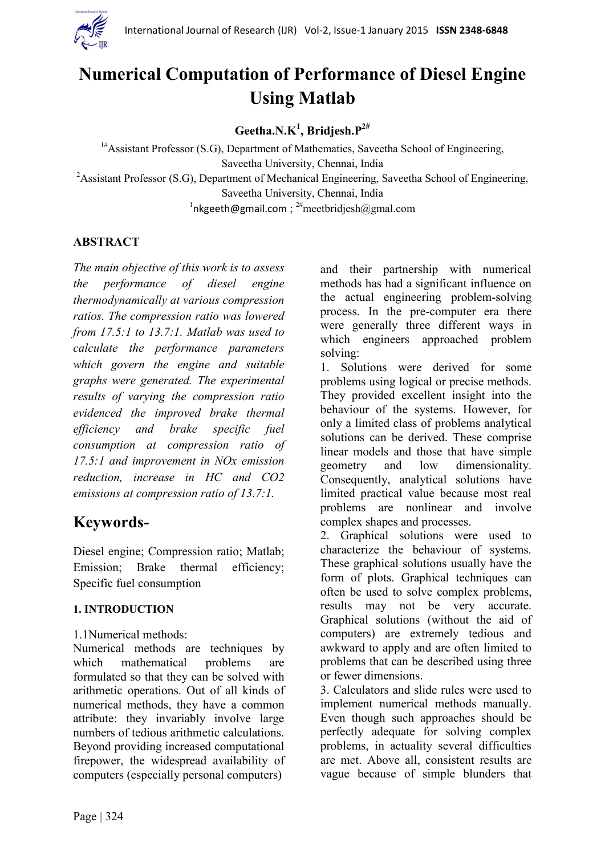

# **Numerical Computation of Performance of Diesel Engine Using Matlab**

# **Geetha.N.K<sup>1</sup> , Bridjesh.P2#**

<sup>1#</sup>Assistant Professor (S.G), Department of Mathematics, Saveetha School of Engineering, Saveetha University, Chennai, India <sup>2</sup>Assistant Professor (S.G), Department of Mechanical Engineering, Saveetha School of Engineering, Saveetha University, Chennai, India  $1$ [nkgeeth@gmail.com](mailto:nkgeeth@gmail.com);  $2^{\#}$ meetbridjesh@gmal.com

# **ABSTRACT**

*The main objective of this work is to assess the performance of diesel engine thermodynamically at various compression ratios. The compression ratio was lowered from 17.5:1 to 13.7:1. Matlab was used to calculate the performance parameters which govern the engine and suitable graphs were generated. The experimental results of varying the compression ratio evidenced the improved brake thermal efficiency and brake specific fuel consumption at compression ratio of 17.5:1 and improvement in NOx emission reduction, increase in HC and CO2 emissions at compression ratio of 13.7:1.*

# **Keywords-**

Diesel engine; Compression ratio; Matlab; Emission; Brake thermal efficiency; Specific fuel consumption

#### **1. INTRODUCTION**

#### 1.1Numerical methods:

Numerical methods are techniques by which mathematical problems are formulated so that they can be solved with arithmetic operations. Out of all kinds of numerical methods, they have a common attribute: they invariably involve large numbers of tedious arithmetic calculations. Beyond providing increased computational firepower, the widespread availability of computers (especially personal computers)

and their partnership with numerical methods has had a significant influence on the actual engineering problem-solving process. In the pre-computer era there were generally three different ways in which engineers approached problem solving:

1. Solutions were derived for some problems using logical or precise methods. They provided excellent insight into the behaviour of the systems. However, for only a limited class of problems analytical solutions can be derived. These comprise linear models and those that have simple geometry and low dimensionality. Consequently, analytical solutions have limited practical value because most real problems are nonlinear and involve complex shapes and processes.

2. Graphical solutions were used to characterize the behaviour of systems. These graphical solutions usually have the form of plots. Graphical techniques can often be used to solve complex problems, results may not be very accurate. Graphical solutions (without the aid of computers) are extremely tedious and awkward to apply and are often limited to problems that can be described using three or fewer dimensions.

3. Calculators and slide rules were used to implement numerical methods manually. Even though such approaches should be perfectly adequate for solving complex problems, in actuality several difficulties are met. Above all, consistent results are vague because of simple blunders that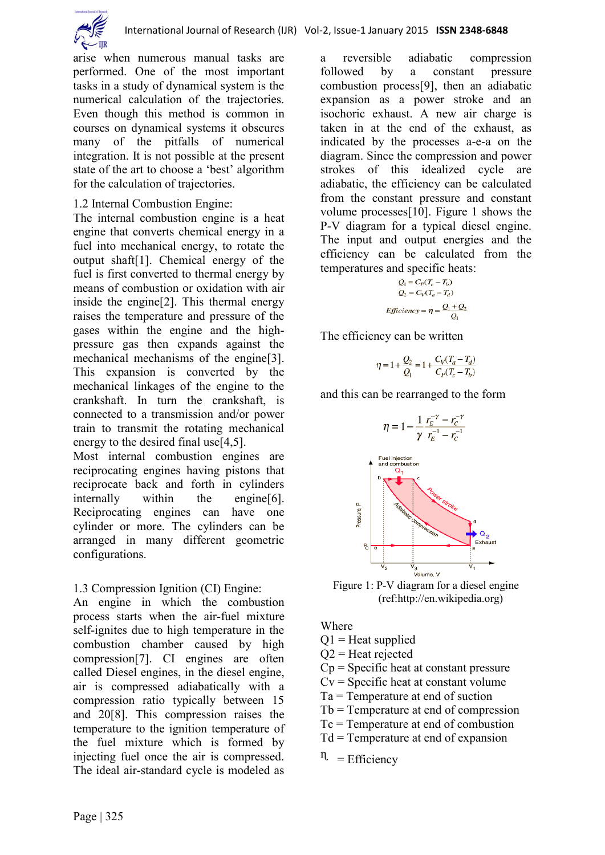

arise when numerous manual tasks are performed. One of the most important tasks in a study of dynamical system is the numerical calculation of the trajectories. Even though this method is common in courses on dynamical systems it obscures many of the pitfalls of numerical integration. It is not possible at the present state of the art to choose a 'best' algorithm for the calculation of trajectories.

#### 1.2 Internal Combustion Engine:

The internal combustion engine is a heat engine that converts chemical energy in a fuel into mechanical energy, to rotate the output shaft[1]. Chemical energy of the fuel is first converted to thermal energy by means of combustion or oxidation with air inside the engine[2]. This thermal energy raises the temperature and pressure of the gases within the engine and the highpressure gas then expands against the mechanical mechanisms of the engine[3]. This expansion is converted by the mechanical linkages of the engine to the crankshaft. In turn the crankshaft, is connected to a transmission and/or power train to transmit the rotating mechanical energy to the desired final use<sup>[4,5]</sup>.

Most internal combustion engines are reciprocating engines having pistons that reciprocate back and forth in cylinders internally within the engine[6]. Reciprocating engines can have one cylinder or more. The cylinders can be arranged in many different geometric configurations.

# 1.3 Compression Ignition (CI) Engine:

An engine in which the combustion process starts when the air-fuel mixture self-ignites due to high temperature in the combustion chamber caused by high compression[7]. CI engines are often called Diesel engines, in the diesel engine, air is compressed [adiabatically](http://hyperphysics.phy-astr.gsu.edu/hbase/thermo/adiab.html#c1) with a compression ratio typically between 15 and 20[8]. This compression raises the temperature to the ignition temperature of the fuel mixture which is formed by injecting fuel once the air is compressed. The ideal air-standard cycle is modeled as

a reversible adiabatic compression followed by a [constant pressure](http://hyperphysics.phy-astr.gsu.edu/hbase/thermo/cppro.html#c1) combustion process[9], then an adiabatic expansion as a power stroke and an [isoc](http://hyperphysics.phy-astr.gsu.edu/hbase/thermo/cvpro.html#c1)horic exhaust. A new air charge is taken in at the end of the exhaust, as indicated by the processes a-e-a on the diagram. Since the compression and power strokes of this idealized cycle are adiabatic, the efficiency can be calculated from the constant pressure and constant volume processes[10]. Figure 1 shows the P-V diagram for a typical diesel engine. The input and output energies and the efficiency can be calculated from the temperatures and specific heats:

$$
Q_1 = C_P(T_c - T_b)
$$
  
\n
$$
Q_2 = C_V(T_a - T_d)
$$
  
\nEfficiency = 
$$
\eta = \frac{Q_1 + Q_2}{Q_1}
$$

The efficiency can be written

$$
\eta = 1 + \frac{Q_2}{Q_1} = 1 + \frac{C_V (T_a - T_d)}{C_P (T_c - T_b)}
$$

and this can be rearranged to the form



Figure 1: P-V diagram for a diesel engine (ref:http://en.wikipedia.org)

Where

 $Q1$  = Heat supplied

 $Q2$  = Heat rejected

- Cp = Specific heat at constant pressure
- $Cv =$  Specific heat at constant volume
- Ta = Temperature at end of suction
- Tb = Temperature at end of compression
- Tc = Temperature at end of combustion
- Td = Temperature at end of expansion
- $\eta$  = Efficiency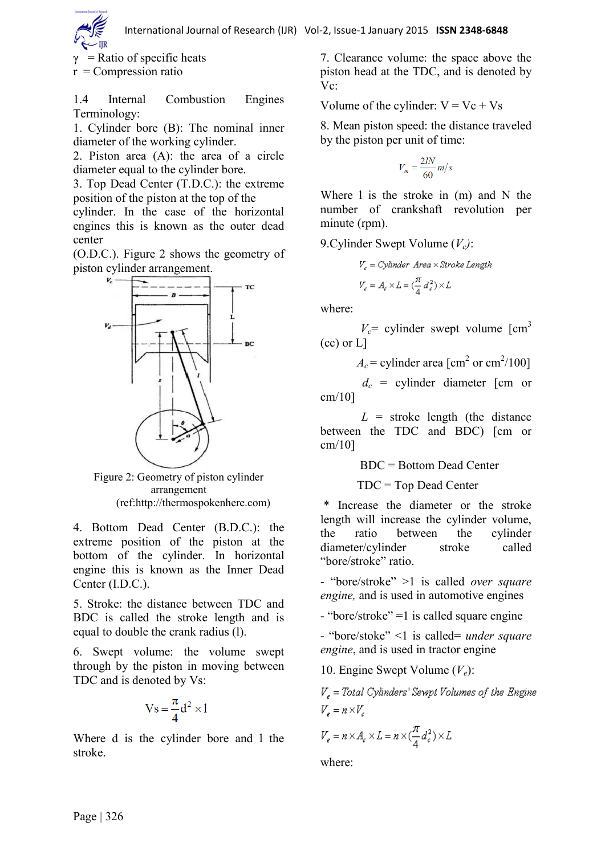$\gamma$  = Ratio of specific heats

 $r =$ Compression ratio

1.4 Internal Combustion Engines Terminology:

1. Cylinder bore (B): The nominal inner diameter of the working cylinder.

2. Piston area (A): the area of a circle diameter equal to the cylinder bore.

3. Top Dead Center (T.D.C.): the extreme position of the piston at the top of the cylinder. In the case of the horizontal engines this is known as the outer dead center

(O.D.C.). Figure 2 shows the geometry of piston cylinder arrangement.



Figure 2: Geometry of piston cylinder arrangement (ref:http://thermospokenhere.com)

4. Bottom Dead Center (B.D.C.): the extreme position of the piston at the bottom of the cylinder. In horizontal engine this is known as the Inner Dead Center (I.D.C.).

5. Stroke: the distance between TDC and BDC is called the stroke length and is equal to double the crank radius (l).

6. Swept volume: the volume swept through by the piston in moving between TDC and is denoted by Vs:

$$
Vs = \frac{\pi}{4} d^2 \times l
$$

Where d is the cylinder bore and l the stroke.

7. Clearance volume: the space above the piston head at the TDC, and is denoted by Vc:

Volume of the cylinder:  $V = Vc + Vs$ 

8. Mean piston speed: the distance traveled by the piston per unit of time:

$$
V_m = \frac{2lN}{60}m/s
$$

Where 1 is the stroke in (m) and N the number of crankshaft revolution per minute (rpm).

9.Cylinder Swept Volume (*Vc)*:

$$
\begin{aligned} V_c &= Cylinder~Area \times Stroke~Length \\ V_c &= A_c \times L = (\frac{\pi}{4} d_c^2) \times L \end{aligned}
$$

where:

 $V_c$ = cylinder swept volume  $\text{cm}^3$ (cc) or L]

 $A_c$  = cylinder area [cm<sup>2</sup> or cm<sup>2</sup>/100]

 $d_c$  = cylinder diameter [cm or cm/10]

 $L =$  stroke length (the distance between the TDC and BDC) [cm or cm/10]

BDC = Bottom Dead Center

TDC = Top Dead Center

\* Increase the diameter or the stroke length will increase the cylinder volume, the ratio between the cylinder diameter/cylinder stroke called "bore/stroke" ratio.

- "bore/stroke" >1 is called *over square engine,* and is used in automotive engines

- "bore/stroke" =1 is called square engine

- "bore/stoke" <1 is called= *under square engine*, and is used in tractor engine

10. Engine Swept Volume (*Ve*):

 $V_s$  = Total Cylinders' Sewpt Volumes of the Engine  $V_a = n \times V_a$ 

$$
V_e = n \times A_e \times L = n \times (\frac{\pi}{4}d_e^2) \times L
$$

where: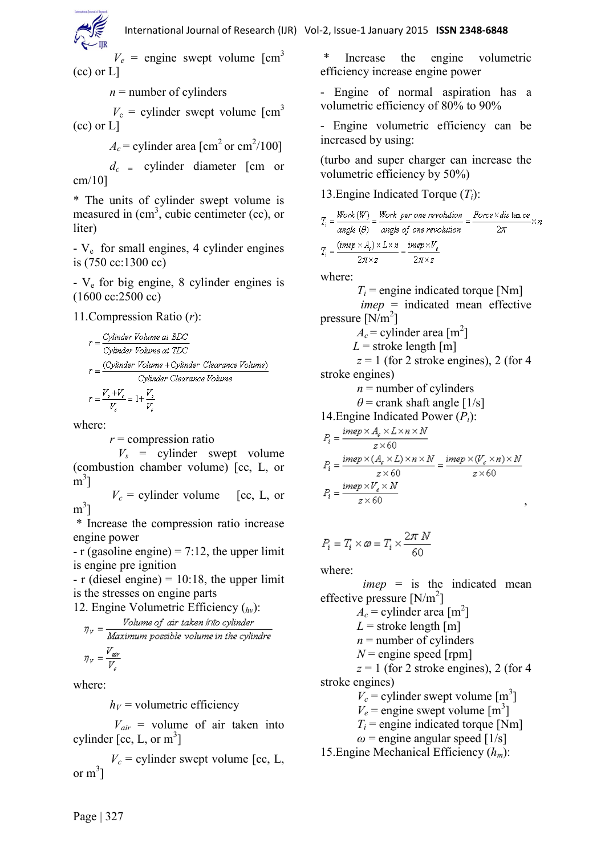$V_e$  = engine swept volume  $\text{[cm}^3$ (cc) or L]

 $n =$  number of cylinders

 $V_c$  = cylinder swept volume  $\text{cm}^3$ (cc) or L]

 $A_c$  = cylinder area [cm<sup>2</sup> or cm<sup>2</sup>/100]

 $d_c$  = cylinder diameter [cm or cm/10]

\* The units of cylinder swept volume is measured in  $(cm^3)$ , cubic centimeter (cc), or liter)

- V<sup>e</sup> for small engines, 4 cylinder engines is (750 cc:1300 cc)

- V<sup>e</sup> for big engine, 8 cylinder engines is (1600 cc:2500 cc)

# 11.Compression Ratio (*r*):

$$
r = \frac{Cylinder \ Volume \ at \ BDC}{Cylinder \ Volume \ at \ TDC}
$$
\n
$$
r = \frac{(Cylinder \ Volume + Cylinder \ Clearance \ Volume)}{Cylinder \ Clearance \ Volume}
$$
\n
$$
r = \frac{V_s + V_c}{V_c} = 1 + \frac{V_s}{V_c}
$$

where:

*r* = compression ratio

 $V_s$  = cylinder swept volume (combustion chamber volume) [cc, L, or  $\sin^3$ 

 $V_c$  = cylinder volume [cc, L, or  $m^3$ ]

\* Increase the compression ratio increase engine power

 $-$  r (gasoline engine) = 7:12, the upper limit is engine pre ignition

 $- r$  (diesel engine) = 10:18, the upper limit is the stresses on engine parts

12. Engine Volumetric Efficiency (*hv*):

$$
\eta_{\nu} = \frac{Volume \text{ of air taken into cylinder}}{Maximum possible volume in the cylinder}
$$

$$
\eta_{\nu} = \frac{V_{air}}{V_{c}}
$$

where:

 $h_V$  = volumetric efficiency

 $V_{air}$  = volume of air taken into cylinder [cc, L, or  $m^3$ ]

 $V_c$  = cylinder swept volume [cc, L, or  $m^3$ ]

\* Increase the engine volumetric efficiency increase engine power

- Engine of normal aspiration has a volumetric efficiency of 80% to 90%

- Engine volumetric efficiency can be increased by using:

(turbo and super charger can increase the volumetric efficiency by 50%)

13.Engine Indicated Torque (*Ti*):

$$
T_i = \frac{Work(W)}{angle(\theta)} = \frac{Work\ per\ one\ revolution}{angle(\theta)} = \frac{Force \times dis \tan ce}{2\pi} \times n
$$
  
\n
$$
T_i = \frac{(mep \times A_i) \times L \times n}{2\pi \times z} = \frac{imp \times V_e}{2\pi \times z}
$$
  
\nwhere:  
\n
$$
T_i = \text{engine indicated torque [Nm]}
$$
  
\n
$$
imep = \text{indicated mean effective}
$$
  
\npressive [N/m<sup>2</sup>]  
\n
$$
A_c = \text{cylinder area [m2]\n
$$
L = \text{ stroke length [m]}
$$
  
\n
$$
z = 1 \text{ (for 2 stroke engines), 2 (for 4\n stroke engines)}
$$
  
\n
$$
n = \text{number of cylinders}
$$
  
\n
$$
\theta = \text{crank shaft angle [1/s]}
$$
  
\n14. Engine Indicated Power (P<sub>i</sub>):  
\n
$$
P_i = \frac{imp \times A_e \times L \times n \times N}{z \times 60}
$$
$$

$$
\begin{split} P_i &= \frac{imep \times (A_{\epsilon} \times L) \times n \times N}{z \times 60} = \frac{imep \times (V_{\epsilon} \times n) \times N}{z \times 60} \\ P_i &= \frac{imep \times V_{\epsilon} \times N}{z \times 60} \end{split}
$$

$$
P_i = T_i \times \varpi = T_i \times \frac{2\pi \, N}{60}
$$

where:

 *imep* = is the indicated mean effective pressure  $[N/m^2]$  $A_c$  = cylinder area [m<sup>2</sup>]  $L =$ stroke length [m]  $n =$  number of cylinders  $N$  = engine speed [rpm]  $z = 1$  (for 2 stroke engines), 2 (for 4) stroke engines)  $V_c$  = cylinder swept volume [m<sup>3</sup>]  $V_e$  = engine swept volume  $\text{[m}^3\text{]}$  $T_i$  = engine indicated torque [Nm]  $\omega$  = engine angular speed [1/s]

15.Engine Mechanical Efficiency (*hm*):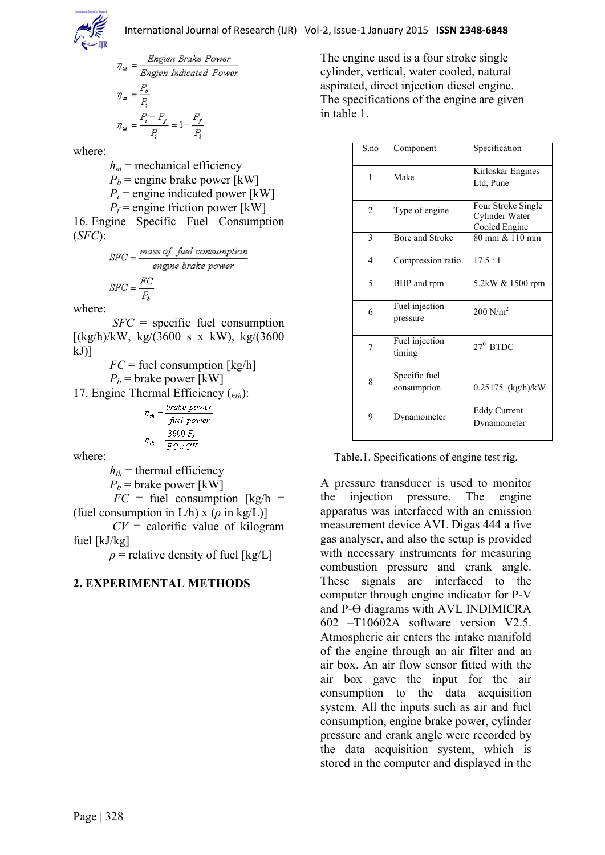

$$
\eta_{\mathbf{m}} = \frac{Engineering\ Rate\ Power}{Engineering\ Indicated\ Power}
$$
\n
$$
\eta_{\mathbf{m}} = \frac{P_{\mathbf{0}}}{P_{\mathbf{i}}}
$$
\n
$$
\eta_{\mathbf{m}} = \frac{P_{\mathbf{i}} - P_{\mathbf{f}}}{P_{\mathbf{i}}} = 1 - \frac{P_{\mathbf{f}}}{P_{\mathbf{i}}}
$$

where:

 $h_m$  = mechanical efficiency  $P_b$  = engine brake power [kW]  $P_i$  = engine indicated power [kW]  $P_f$  = engine friction power [kW] 16. Engine Specific Fuel Consumption

$$
SFC = \frac{mass\ of\ fuel\ consumption}{engine\ brake\ power}
$$

$$
SFC = \frac{FC}{P_a}
$$

where:

(*SFC*):

 *SFC* = specific fuel consumption  $[(kg/h)/kW, kg/(3600 s x kW), kg/(3600$  $kJ$ ]

 $FC$  = fuel consumption  $\lfloor \frac{kg}{h} \rfloor$  $P_b$  = brake power [kW]

17. Engine Thermal Efficiency (*hth*):

$$
\eta_{th} = \frac{brake power}{fuel power}
$$

$$
\eta_{th} = \frac{3600 P_b}{FC \times CV}
$$

where:

 $h_{th}$  = thermal efficiency

 $P_b$  = brake power [kW]

 $FC = fuel consumption [kg/h] =$ (fuel consumption in  $L/h$ ) x ( $\rho$  in kg/L)]

 $CV =$  calorific value of kilogram fuel [kJ/kg]

 $\rho$  = relative density of fuel [kg/L]

# **2. EXPERIMENTAL METHODS**

The engine used is a four stroke single cylinder, vertical, water cooled, natural aspirated, direct injection diesel engine. The specifications of the engine are given in table 1.

| S.no           | Component                    | Specification                                         |
|----------------|------------------------------|-------------------------------------------------------|
| 1              | Make                         | Kirloskar Engines<br>Ltd, Pune                        |
| 2              | Type of engine               | Four Stroke Single<br>Cylinder Water<br>Cooled Engine |
| 3              | Bore and Stroke              | 80 mm & 110 mm                                        |
| $\overline{4}$ | Compression ratio            | 17.5:1                                                |
| 5              | BHP and rpm                  | 5.2kW & 1500 rpm                                      |
| 6              | Fuel injection<br>pressure   | $200$ N/m <sup>2</sup>                                |
| 7              | Fuel injection<br>timing     | $27^0$ BTDC                                           |
| 8              | Specific fuel<br>consumption | 0.25175 (kg/h)/kW                                     |
| 9              | Dynamometer                  | <b>Eddy Current</b><br>Dynamometer                    |

Table.1. Specifications of engine test rig.

A pressure transducer is used to monitor the injection pressure. The engine apparatus was interfaced with an emission measurement device AVL Digas 444 a five gas analyser, and also the setup is provided with necessary instruments for measuring combustion pressure and crank angle. These signals are interfaced to the computer through engine indicator for P-V and  $P-\Theta$  diagrams with AVL INDIMICRA 602 –T10602A software version V2.5. Atmospheric air enters the intake manifold of the engine through an air filter and an air box. An air flow sensor fitted with the air box gave the input for the air consumption to the data acquisition system. All the inputs such as air and fuel consumption, engine brake power, cylinder pressure and crank angle were recorded by the data acquisition system, which is stored in the computer and displayed in the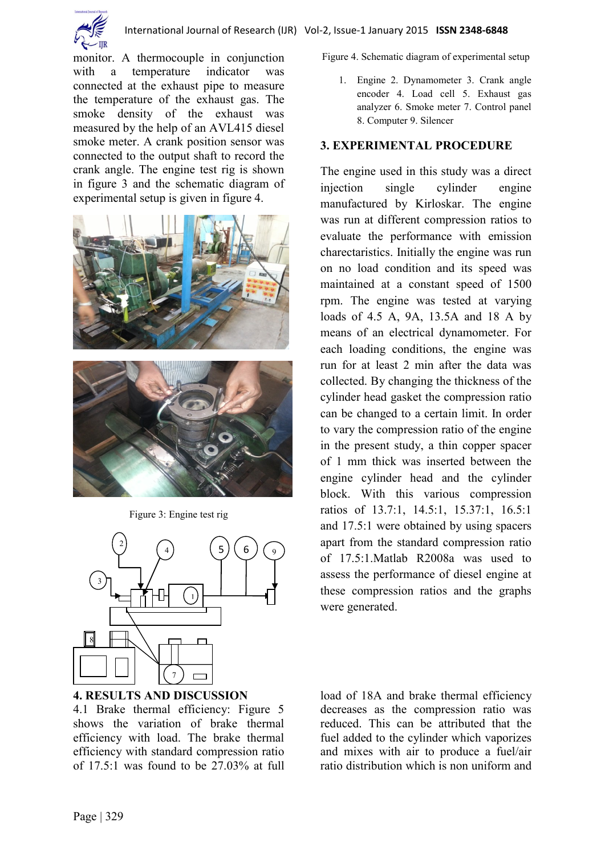

monitor. A thermocouple in conjunction with a temperature indicator was connected at the exhaust pipe to measure the temperature of the exhaust gas. The smoke density of the exhaust was measured by the help of an AVL415 diesel smoke meter. A crank position sensor was connected to the output shaft to record the crank angle. The engine test rig is shown in figure 3 and the schematic diagram of experimental setup is given in figure 4.







**4. RESULTS AND DISCUSSION**

4.1 Brake thermal efficiency: Figure 5 shows the variation of brake thermal efficiency with load. The brake thermal efficiency with standard compression ratio of 17.5:1 was found to be 27.03% at full Figure 4. Schematic diagram of experimental setup

1. Engine 2. Dynamometer 3. Crank angle encoder 4. Load cell 5. Exhaust gas analyzer 6. Smoke meter 7. Control panel 8. Computer 9. Silencer

#### **3. EXPERIMENTAL PROCEDURE**

The engine used in this study was a direct injection single cylinder engine manufactured by Kirloskar. The engine was run at different compression ratios to evaluate the performance with emission charectaristics. Initially the engine was run on no load condition and its speed was maintained at a constant speed of 1500 rpm. The engine was tested at varying loads of 4.5 A, 9A, 13.5A and 18 A by means of an electrical dynamometer. For each loading conditions, the engine was run for at least 2 min after the data was collected. By changing the thickness of the cylinder head gasket the compression ratio can be changed to a certain limit. In order to vary the compression ratio of the engine in the present study, a thin copper spacer of 1 mm thick was inserted between the engine cylinder head and the cylinder block. With this various compression ratios of 13.7:1, 14.5:1, 15.37:1, 16.5:1 and 17.5:1 were obtained by using spacers apart from the standard compression ratio of 17.5:1.Matlab R2008a was used to assess the performance of diesel engine at these compression ratios and the graphs were generated.

load of 18A and brake thermal efficiency decreases as the compression ratio was reduced. This can be attributed that the fuel added to the cylinder which vaporizes and mixes with air to produce a fuel/air ratio distribution which is non uniform and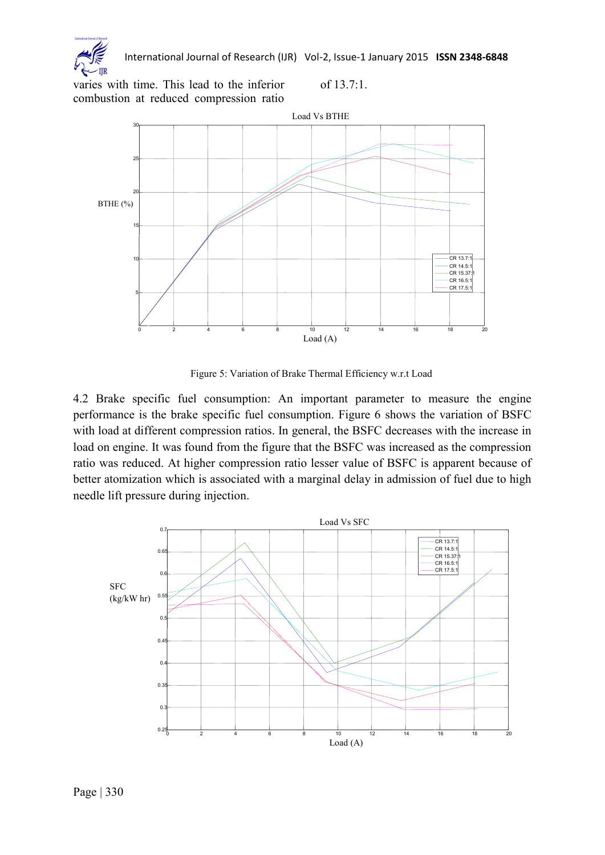

International Journal of Research (IJR) Vol-2, Issue-1 January 2015 **ISSN 2348-6848**

of 13.7:1.

varies with time. This lead to the inferior combustion at reduced compression ratio



Figure 5: Variation of Brake Thermal Efficiency w.r.t Load

4.2 Brake specific fuel consumption: An important parameter to measure the engine performance is the brake specific fuel consumption. Figure 6 shows the variation of BSFC with load at different compression ratios. In general, the BSFC decreases with the increase in load on engine. It was found from the figure that the BSFC was increased as the compression ratio was reduced. At higher compression ratio lesser value of BSFC is apparent because of better atomization which is associated with a marginal delay in admission of fuel due to high needle lift pressure during injection.

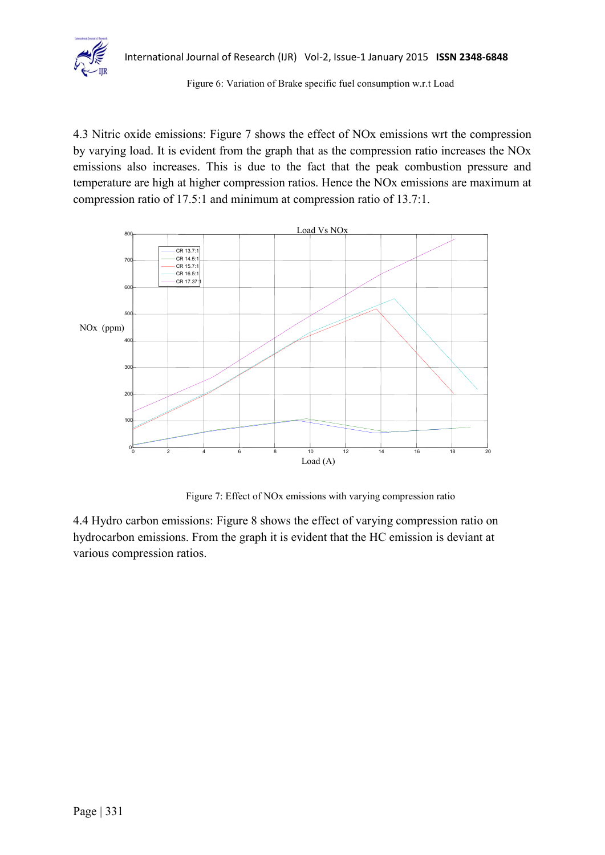

#### Figure 6: Variation of Brake specific fuel consumption w.r.t Load

4.3 Nitric oxide emissions: Figure 7 shows the effect of NOx emissions wrt the compression by varying load. It is evident from the graph that as the compression ratio increases the NOx emissions also increases. This is due to the fact that the peak combustion pressure and temperature are high at higher compression ratios. Hence the NOx emissions are maximum at compression ratio of 17.5:1 and minimum at compression ratio of 13.7:1.



Figure 7: Effect of NOx emissions with varying compression ratio

4.4 Hydro carbon emissions: Figure 8 shows the effect of varying compression ratio on hydrocarbon emissions. From the graph it is evident that the HC emission is deviant at various compression ratios.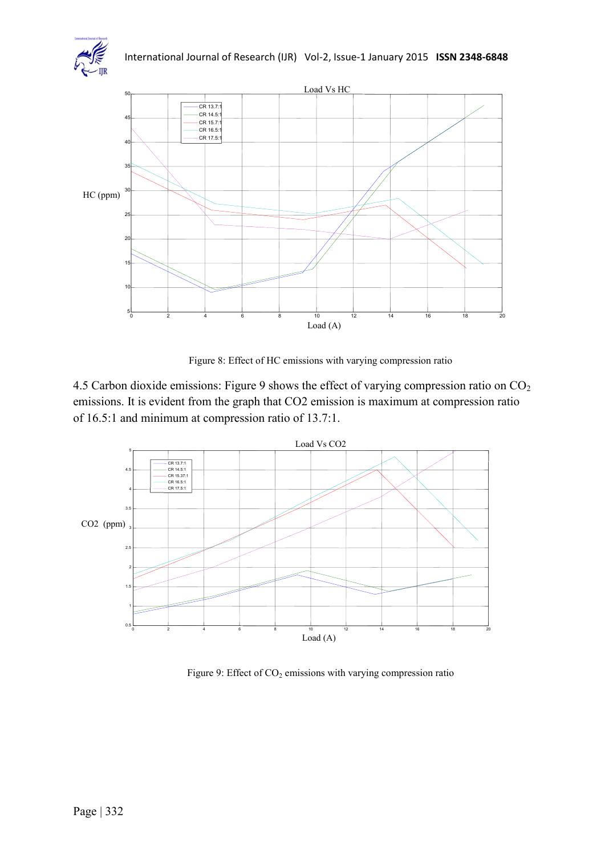



Figure 8: Effect of HC emissions with varying compression ratio

4.5 Carbon dioxide emissions: Figure 9 shows the effect of varying compression ratio on CO<sup>2</sup> emissions. It is evident from the graph that CO2 emission is maximum at compression ratio of 16.5:1 and minimum at compression ratio of 13.7:1.



Figure 9: Effect of  $CO<sub>2</sub>$  emissions with varying compression ratio